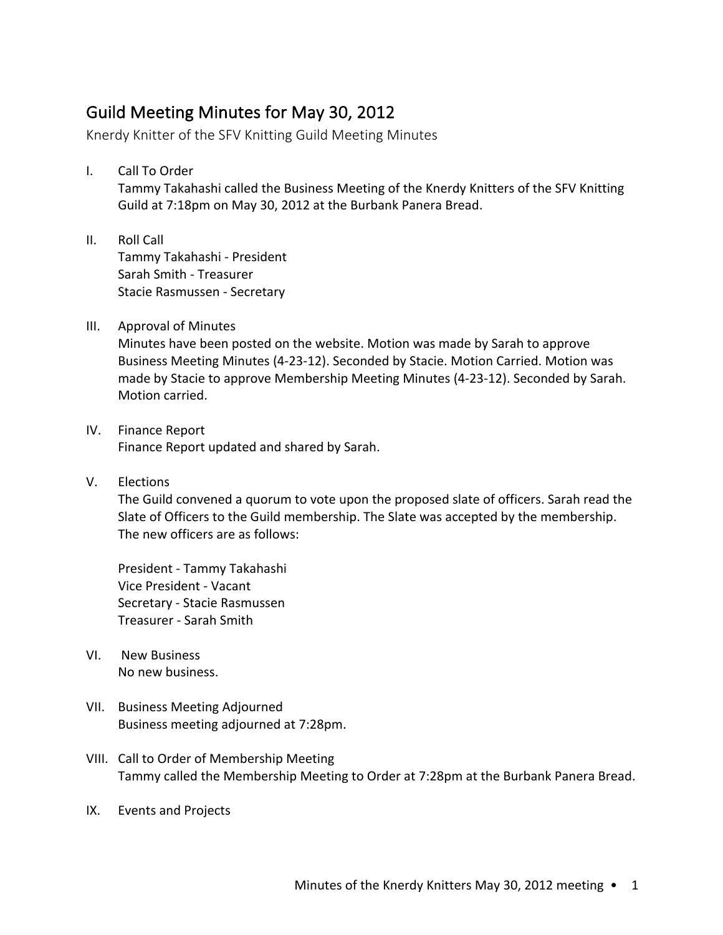## Guild Meeting Minutes for May 30, 2012

Knerdy Knitter of the SFV Knitting Guild Meeting Minutes

I. Call To Order

Tammy Takahashi called the Business Meeting of the Knerdy Knitters of the SFV Knitting Guild at 7:18pm on May 30, 2012 at the Burbank Panera Bread.

- II. Roll Call Tammy Takahashi - President Sarah Smith - Treasurer Stacie Rasmussen - Secretary
- III. Approval of Minutes

Minutes have been posted on the website. Motion was made by Sarah to approve Business Meeting Minutes (4-23-12). Seconded by Stacie. Motion Carried. Motion was made by Stacie to approve Membership Meeting Minutes (4-23-12). Seconded by Sarah. Motion carried.

- IV. Finance Report Finance Report updated and shared by Sarah.
- V. Elections

The Guild convened a quorum to vote upon the proposed slate of officers. Sarah read the Slate of Officers to the Guild membership. The Slate was accepted by the membership. The new officers are as follows:

President - Tammy Takahashi Vice President - Vacant Secretary - Stacie Rasmussen Treasurer - Sarah Smith

- VI. New Business No new business.
- VII. Business Meeting Adjourned Business meeting adjourned at 7:28pm.
- VIII. Call to Order of Membership Meeting Tammy called the Membership Meeting to Order at 7:28pm at the Burbank Panera Bread.
- IX. Events and Projects